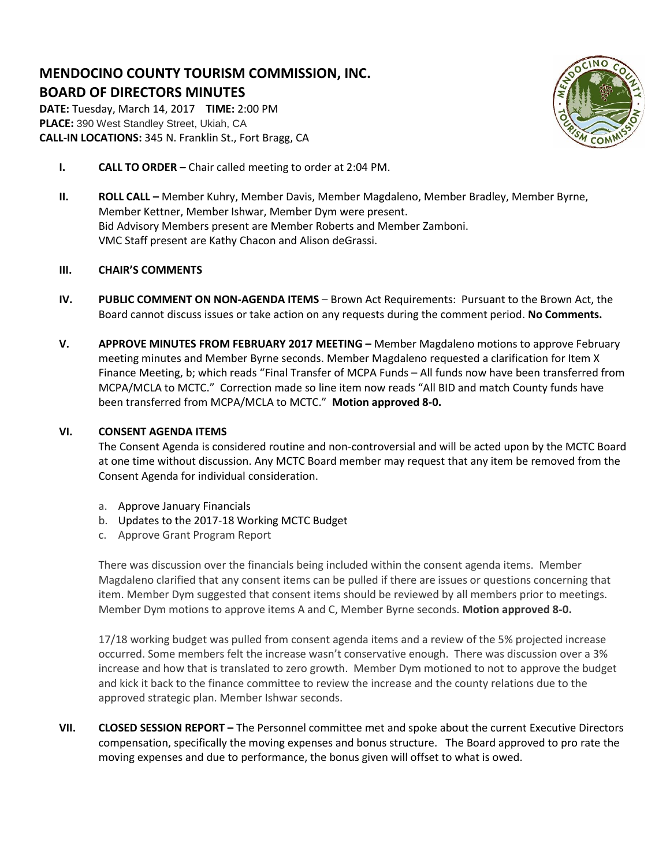# **MENDOCINO COUNTY TOURISM COMMISSION, INC. BOARD OF DIRECTORS MINUTES**

**DATE:** Tuesday, March 14, 2017 **TIME:** 2:00 PM **PLACE:** 390 West Standley Street, Ukiah, CA **CALL-IN LOCATIONS:** 345 N. Franklin St., Fort Bragg, CA



- **I. CALL TO ORDER –** Chair called meeting to order at 2:04 PM.
- **II. ROLL CALL –** Member Kuhry, Member Davis, Member Magdaleno, Member Bradley, Member Byrne, Member Kettner, Member Ishwar, Member Dym were present. Bid Advisory Members present are Member Roberts and Member Zamboni. VMC Staff present are Kathy Chacon and Alison deGrassi.

# **III. CHAIR'S COMMENTS**

- **IV. PUBLIC COMMENT ON NON-AGENDA ITEMS** Brown Act Requirements: Pursuant to the Brown Act, the Board cannot discuss issues or take action on any requests during the comment period. **No Comments.**
- **V. APPROVE MINUTES FROM FEBRUARY 2017 MEETING –** Member Magdaleno motions to approve February meeting minutes and Member Byrne seconds. Member Magdaleno requested a clarification for Item X Finance Meeting, b; which reads "Final Transfer of MCPA Funds – All funds now have been transferred from MCPA/MCLA to MCTC." Correction made so line item now reads "All BID and match County funds have been transferred from MCPA/MCLA to MCTC." **Motion approved 8-0.**

## **VI. CONSENT AGENDA ITEMS**

The Consent Agenda is considered routine and non-controversial and will be acted upon by the MCTC Board at one time without discussion. Any MCTC Board member may request that any item be removed from the Consent Agenda for individual consideration.

- a. Approve January Financials
- b. Updates to the 2017-18 Working MCTC Budget
- c. Approve Grant Program Report

There was discussion over the financials being included within the consent agenda items. Member Magdaleno clarified that any consent items can be pulled if there are issues or questions concerning that item. Member Dym suggested that consent items should be reviewed by all members prior to meetings. Member Dym motions to approve items A and C, Member Byrne seconds. **Motion approved 8-0.**

17/18 working budget was pulled from consent agenda items and a review of the 5% projected increase occurred. Some members felt the increase wasn't conservative enough. There was discussion over a 3% increase and how that is translated to zero growth. Member Dym motioned to not to approve the budget and kick it back to the finance committee to review the increase and the county relations due to the approved strategic plan. Member Ishwar seconds.

**VII. CLOSED SESSION REPORT –** The Personnel committee met and spoke about the current Executive Directors compensation, specifically the moving expenses and bonus structure. The Board approved to pro rate the moving expenses and due to performance, the bonus given will offset to what is owed.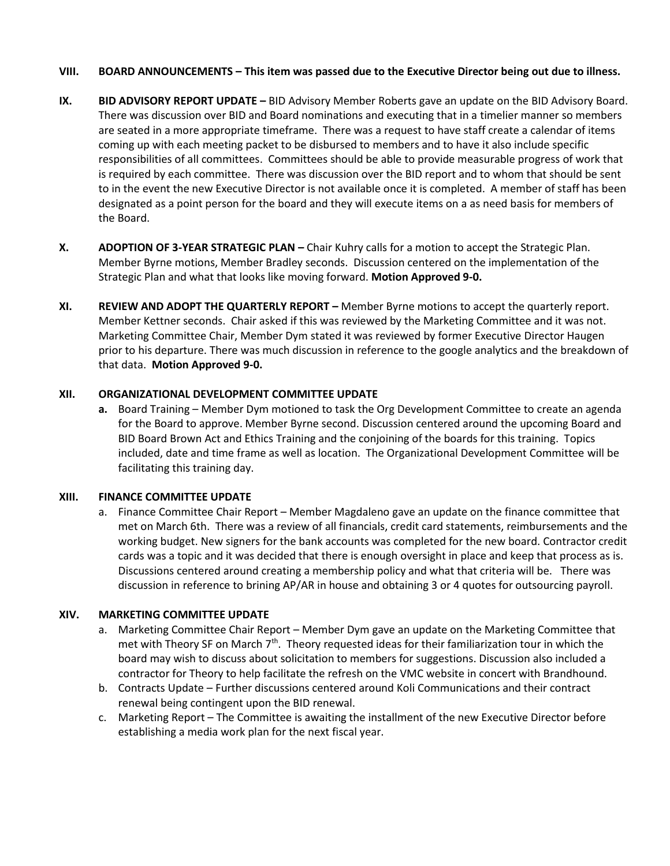## **VIII. BOARD ANNOUNCEMENTS – This item was passed due to the Executive Director being out due to illness.**

- **IX. BID ADVISORY REPORT UPDATE –** BID Advisory Member Roberts gave an update on the BID Advisory Board. There was discussion over BID and Board nominations and executing that in a timelier manner so members are seated in a more appropriate timeframe. There was a request to have staff create a calendar of items coming up with each meeting packet to be disbursed to members and to have it also include specific responsibilities of all committees. Committees should be able to provide measurable progress of work that is required by each committee. There was discussion over the BID report and to whom that should be sent to in the event the new Executive Director is not available once it is completed. A member of staff has been designated as a point person for the board and they will execute items on a as need basis for members of the Board.
- **X. ADOPTION OF 3-YEAR STRATEGIC PLAN –** Chair Kuhry calls for a motion to accept the Strategic Plan. Member Byrne motions, Member Bradley seconds. Discussion centered on the implementation of the Strategic Plan and what that looks like moving forward. **Motion Approved 9-0.**
- **XI. REVIEW AND ADOPT THE QUARTERLY REPORT –** Member Byrne motions to accept the quarterly report. Member Kettner seconds. Chair asked if this was reviewed by the Marketing Committee and it was not. Marketing Committee Chair, Member Dym stated it was reviewed by former Executive Director Haugen prior to his departure. There was much discussion in reference to the google analytics and the breakdown of that data. **Motion Approved 9-0.**

## **XII. ORGANIZATIONAL DEVELOPMENT COMMITTEE UPDATE**

**a.** Board Training – Member Dym motioned to task the Org Development Committee to create an agenda for the Board to approve. Member Byrne second. Discussion centered around the upcoming Board and BID Board Brown Act and Ethics Training and the conjoining of the boards for this training. Topics included, date and time frame as well as location. The Organizational Development Committee will be facilitating this training day.

#### **XIII. FINANCE COMMITTEE UPDATE**

a. Finance Committee Chair Report – Member Magdaleno gave an update on the finance committee that met on March 6th. There was a review of all financials, credit card statements, reimbursements and the working budget. New signers for the bank accounts was completed for the new board. Contractor credit cards was a topic and it was decided that there is enough oversight in place and keep that process as is. Discussions centered around creating a membership policy and what that criteria will be. There was discussion in reference to brining AP/AR in house and obtaining 3 or 4 quotes for outsourcing payroll.

## **XIV. MARKETING COMMITTEE UPDATE**

- a. Marketing Committee Chair Report Member Dym gave an update on the Marketing Committee that met with Theory SF on March  $7<sup>th</sup>$ . Theory requested ideas for their familiarization tour in which the board may wish to discuss about solicitation to members for suggestions. Discussion also included a contractor for Theory to help facilitate the refresh on the VMC website in concert with Brandhound.
- b. Contracts Update Further discussions centered around Koli Communications and their contract renewal being contingent upon the BID renewal.
- c. Marketing Report The Committee is awaiting the installment of the new Executive Director before establishing a media work plan for the next fiscal year.